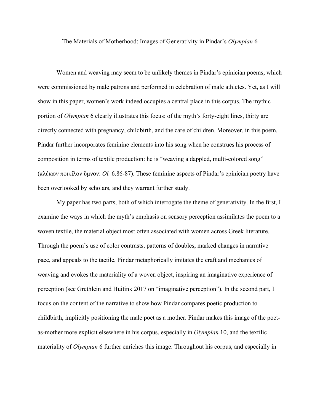The Materials of Motherhood: Images of Generativity in Pindar's *Olympian* 6

Women and weaving may seem to be unlikely themes in Pindar's epinician poems, which were commissioned by male patrons and performed in celebration of male athletes. Yet, as I will show in this paper, women's work indeed occupies a central place in this corpus. The mythic portion of *Olympian* 6 clearly illustrates this focus: of the myth's forty-eight lines, thirty are directly connected with pregnancy, childbirth, and the care of children. Moreover, in this poem, Pindar further incorporates feminine elements into his song when he construes his process of composition in terms of textile production: he is "weaving a dappled, multi-colored song" (πλέκων ποικίλον ὕμνον: *Ol.* 6.86-87). These feminine aspects of Pindar's epinician poetry have been overlooked by scholars, and they warrant further study.

My paper has two parts, both of which interrogate the theme of generativity. In the first, I examine the ways in which the myth's emphasis on sensory perception assimilates the poem to a woven textile, the material object most often associated with women across Greek literature. Through the poem's use of color contrasts, patterns of doubles, marked changes in narrative pace, and appeals to the tactile, Pindar metaphorically imitates the craft and mechanics of weaving and evokes the materiality of a woven object, inspiring an imaginative experience of perception (see Grethlein and Huitink 2017 on "imaginative perception"). In the second part, I focus on the content of the narrative to show how Pindar compares poetic production to childbirth, implicitly positioning the male poet as a mother. Pindar makes this image of the poetas-mother more explicit elsewhere in his corpus, especially in *Olympian* 10, and the textilic materiality of *Olympian* 6 further enriches this image. Throughout his corpus, and especially in